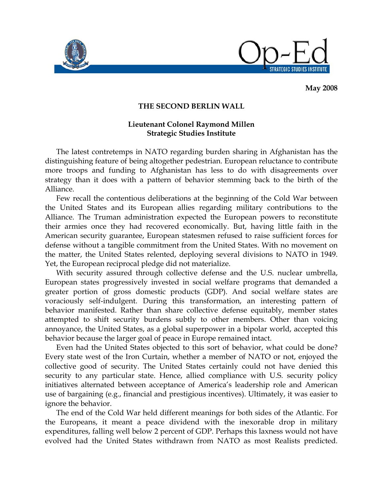



**May 2008** 

## **THE SECOND BERLIN WALL**

## **Lieutenant Colonel Raymond Millen Strategic Studies Institute**

 The latest contretemps in NATO regarding burden sharing in Afghanistan has the distinguishing feature of being altogether pedestrian. European reluctance to contribute more troops and funding to Afghanistan has less to do with disagreements over strategy than it does with a pattern of behavior stemming back to the birth of the Alliance.

 Few recall the contentious deliberations at the beginning of the Cold War between the United States and its European allies regarding military contributions to the Alliance. The Truman administration expected the European powers to reconstitute their armies once they had recovered economically. But, having little faith in the American security guarantee, European statesmen refused to raise sufficient forces for defense without a tangible commitment from the United States. With no movement on the matter, the United States relented, deploying several divisions to NATO in 1949. Yet, the European reciprocal pledge did not materialize.

 With security assured through collective defense and the U.S. nuclear umbrella, European states progressively invested in social welfare programs that demanded a greater portion of gross domestic products (GDP). And social welfare states are voraciously self-indulgent. During this transformation, an interesting pattern of behavior manifested. Rather than share collective defense equitably, member states attempted to shift security burdens subtly to other members. Other than voicing annoyance, the United States, as a global superpower in a bipolar world, accepted this behavior because the larger goal of peace in Europe remained intact.

 Even had the United States objected to this sort of behavior, what could be done? Every state west of the Iron Curtain, whether a member of NATO or not, enjoyed the collective good of security. The United States certainly could not have denied this security to any particular state. Hence, allied compliance with U.S. security policy initiatives alternated between acceptance of America's leadership role and American use of bargaining (e.g., financial and prestigious incentives). Ultimately, it was easier to ignore the behavior.

 The end of the Cold War held different meanings for both sides of the Atlantic. For the Europeans, it meant a peace dividend with the inexorable drop in military expenditures, falling well below 2 percent of GDP. Perhaps this laxness would not have evolved had the United States withdrawn from NATO as most Realists predicted.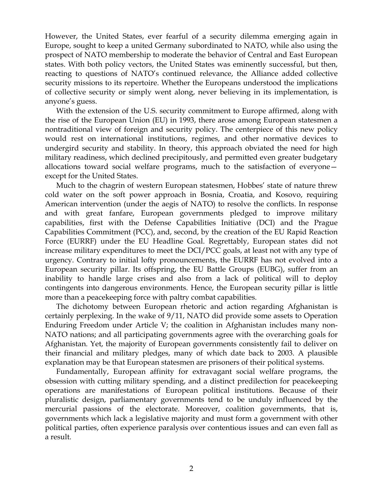However, the United States, ever fearful of a security dilemma emerging again in Europe, sought to keep a united Germany subordinated to NATO, while also using the prospect of NATO membership to moderate the behavior of Central and East European states. With both policy vectors, the United States was eminently successful, but then, reacting to questions of NATO's continued relevance, the Alliance added collective security missions to its repertoire. Whether the Europeans understood the implications of collective security or simply went along, never believing in its implementation, is anyone's guess.

 With the extension of the U.S. security commitment to Europe affirmed, along with the rise of the European Union (EU) in 1993, there arose among European statesmen a nontraditional view of foreign and security policy. The centerpiece of this new policy would rest on international institutions, regimes, and other normative devices to undergird security and stability. In theory, this approach obviated the need for high military readiness, which declined precipitously, and permitted even greater budgetary allocations toward social welfare programs, much to the satisfaction of everyone except for the United States.

 Much to the chagrin of western European statesmen, Hobbes' state of nature threw cold water on the soft power approach in Bosnia, Croatia, and Kosovo, requiring American intervention (under the aegis of NATO) to resolve the conflicts. In response and with great fanfare, European governments pledged to improve military capabilities, first with the Defense Capabilities Initiative (DCI) and the Prague Capabilities Commitment (PCC), and, second, by the creation of the EU Rapid Reaction Force (EURRF) under the EU Headline Goal. Regrettably, European states did not increase military expenditures to meet the DCI/PCC goals, at least not with any type of urgency. Contrary to initial lofty pronouncements, the EURRF has not evolved into a European security pillar. Its offspring, the EU Battle Groups (EUBG), suffer from an inability to handle large crises and also from a lack of political will to deploy contingents into dangerous environments. Hence, the European security pillar is little more than a peacekeeping force with paltry combat capabilities.

 The dichotomy between European rhetoric and action regarding Afghanistan is certainly perplexing. In the wake of 9/11, NATO did provide some assets to Operation Enduring Freedom under Article V; the coalition in Afghanistan includes many non-NATO nations; and all participating governments agree with the overarching goals for Afghanistan. Yet, the majority of European governments consistently fail to deliver on their financial and military pledges, many of which date back to 2003. A plausible explanation may be that European statesmen are prisoners of their political systems.

 Fundamentally, European affinity for extravagant social welfare programs, the obsession with cutting military spending, and a distinct predilection for peacekeeping operations are manifestations of European political institutions. Because of their pluralistic design, parliamentary governments tend to be unduly influenced by the mercurial passions of the electorate. Moreover, coalition governments, that is, governments which lack a legislative majority and must form a government with other political parties, often experience paralysis over contentious issues and can even fall as a result.